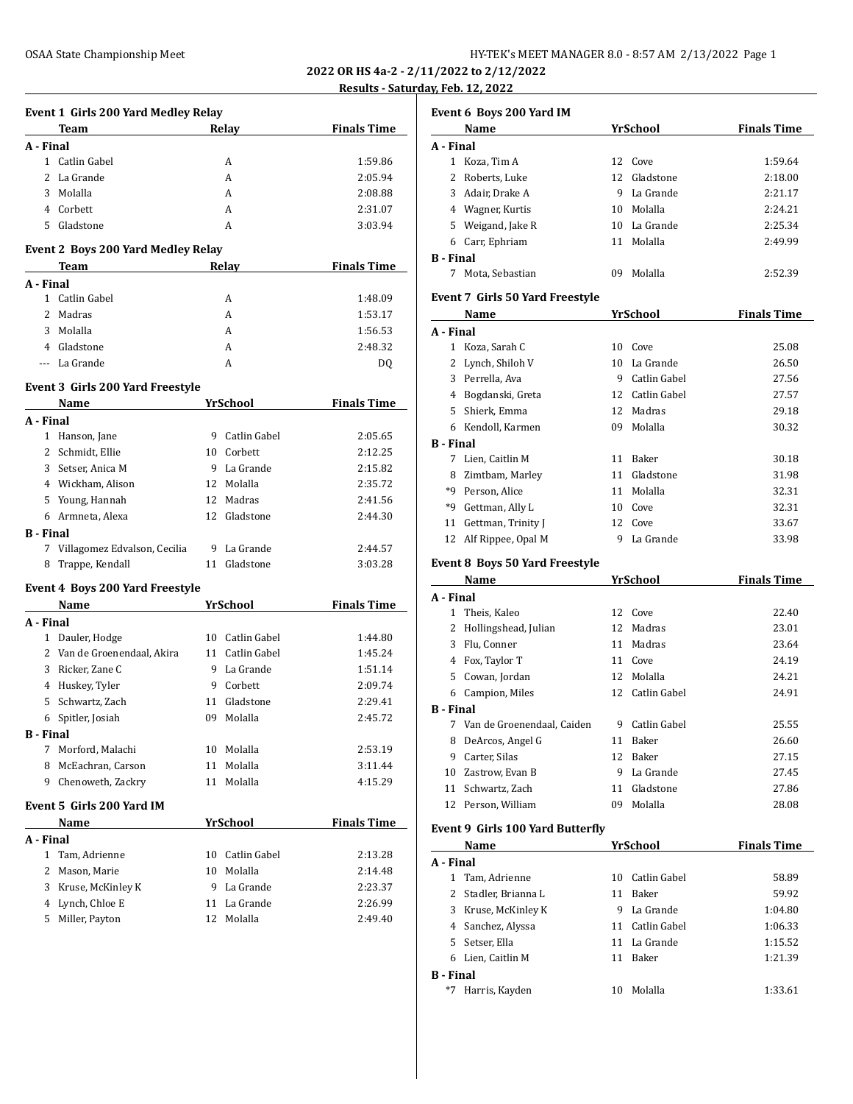**2022 OR HS 4a-2 - 2/11/2022 to 2/12/2022**

## **Results - Saturday, Feb. 12, 2022**

| <b>Event 1 Girls 200 Yard Medley Relay</b> |                                           |    |                  |                    |  |
|--------------------------------------------|-------------------------------------------|----|------------------|--------------------|--|
|                                            | Team                                      |    | Relay            | <b>Finals Time</b> |  |
| A - Final                                  |                                           |    |                  |                    |  |
|                                            | 1 Catlin Gabel                            |    | A                | 1:59.86            |  |
| 2                                          | La Grande                                 |    | A                | 2:05.94            |  |
| 3                                          | Molalla                                   |    | A                | 2:08.88            |  |
|                                            | 4 Corbett                                 |    | A                | 2:31.07            |  |
|                                            | 5 Gladstone                               |    | A                | 3:03.94            |  |
|                                            | <b>Event 2 Boys 200 Yard Medley Relay</b> |    |                  |                    |  |
|                                            | Team                                      |    | Relay            | <b>Finals Time</b> |  |
| A - Final                                  |                                           |    |                  |                    |  |
|                                            | 1 Catlin Gabel                            |    | A                | 1:48.09            |  |
|                                            | 2 Madras                                  |    | A                | 1:53.17            |  |
| 3                                          | Molalla                                   |    | A                | 1:56.53            |  |
|                                            | 4 Gladstone                               |    | A                | 2:48.32            |  |
|                                            | --- La Grande                             |    | A                | DQ                 |  |
|                                            | <b>Event 3 Girls 200 Yard Freestyle</b>   |    |                  |                    |  |
|                                            | Name                                      |    | YrSchool         | <b>Finals Time</b> |  |
| A - Final                                  |                                           |    |                  |                    |  |
| 1                                          | Hanson, Jane                              |    | 9 Catlin Gabel   | 2:05.65            |  |
|                                            | 2 Schmidt, Ellie                          |    | 10 Corbett       | 2:12.25            |  |
|                                            | 3 Setser, Anica M                         |    | 9 La Grande      | 2:15.82            |  |
|                                            | 4 Wickham, Alison                         |    | 12 Molalla       | 2:35.72            |  |
|                                            | 5 Young, Hannah                           |    | 12 Madras        | 2:41.56            |  |
|                                            | 6 Armneta, Alexa                          |    | 12 Gladstone     | 2:44.30            |  |
| <b>B</b> - Final                           |                                           |    |                  |                    |  |
| 7                                          | Villagomez Edvalson, Cecilia              |    | 9 La Grande      | 2:44.57            |  |
| 8                                          | Trappe, Kendall                           |    | 11 Gladstone     | 3:03.28            |  |
|                                            | <b>Event 4 Boys 200 Yard Freestyle</b>    |    |                  |                    |  |
|                                            | Name                                      |    | <b>YrSchool</b>  | <b>Finals Time</b> |  |
| A - Final                                  |                                           |    |                  |                    |  |
| $\mathbf{1}$                               | Dauler, Hodge                             |    | 10 Catlin Gabel  | 1:44.80            |  |
|                                            | 2 Van de Groenendaal, Akira               |    | 11 Catlin Gabel  | 1:45.24            |  |
|                                            | 3 Ricker, Zane C                          |    | 9 La Grande      | 1:51.14            |  |
|                                            | 4 Huskey, Tyler                           | 9  | Corbett          | 2:09.74            |  |
| 5                                          | Schwartz, Zach                            | 11 | Gladstone        | 2:29.41            |  |
| 6                                          | Spitler, Josiah                           | 09 | Molalla          | 2:45.72            |  |
| <b>B</b> - Final                           |                                           |    |                  |                    |  |
| 7                                          | Morford, Malachi                          |    | 10 Molalla       | 2:53.19            |  |
| 8                                          | McEachran, Carson                         | 11 | Molalla          | 3:11.44            |  |
| 9                                          | Chenoweth, Zackry                         | 11 | Molalla          | 4:15.29            |  |
|                                            | Event 5 Girls 200 Yard IM                 |    |                  |                    |  |
|                                            | Name                                      |    | <u>Yr School</u> | <b>Finals Time</b> |  |
| A - Final                                  |                                           |    |                  |                    |  |
|                                            | 1 Tam, Adrienne                           | 10 | Catlin Gabel     | 2:13.28            |  |
| 2                                          | Mason, Marie                              | 10 | Molalla          | 2:14.48            |  |
| 3                                          | Kruse, McKinley K                         | 9  | La Grande        | 2:23.37            |  |
| 4                                          | Lynch, Chloe E                            | 11 | La Grande        | 2:26.99            |  |
| 5                                          | Miller, Payton                            | 12 | Molalla          | 2:49.40            |  |

|                  | Event 6 Boys 200 Yard IM                |    |                 |                    |  |  |  |
|------------------|-----------------------------------------|----|-----------------|--------------------|--|--|--|
|                  | Name                                    |    | <b>YrSchool</b> | <b>Finals Time</b> |  |  |  |
| A - Final        |                                         |    |                 |                    |  |  |  |
| 1                | Koza, Tim A                             |    | 12 Cove         | 1:59.64            |  |  |  |
|                  | 2 Roberts, Luke                         |    | 12 Gladstone    | 2:18.00            |  |  |  |
|                  | 3 Adair, Drake A                        |    | 9 La Grande     | 2:21.17            |  |  |  |
|                  | 4 Wagner, Kurtis                        |    | 10 Molalla      | 2:24.21            |  |  |  |
|                  | 5 Weigand, Jake R                       |    | 10 La Grande    | 2:25.34            |  |  |  |
|                  | 6 Carr, Ephriam                         |    | 11 Molalla      | 2:49.99            |  |  |  |
| <b>B</b> - Final |                                         |    |                 |                    |  |  |  |
| 7                | Mota, Sebastian                         | 09 | Molalla         | 2:52.39            |  |  |  |
|                  | Event 7 Girls 50 Yard Freestyle         |    |                 |                    |  |  |  |
|                  | Name                                    |    | YrSchool        | <b>Finals Time</b> |  |  |  |
| A - Final        |                                         |    |                 |                    |  |  |  |
|                  | 1 Koza, Sarah C                         |    | 10 Cove         | 25.08              |  |  |  |
|                  | 2 Lynch, Shiloh V                       |    | 10 La Grande    | 26.50              |  |  |  |
|                  | 3 Perrella, Ava                         |    | 9 Catlin Gabel  | 27.56              |  |  |  |
|                  | 4 Bogdanski, Greta                      |    | 12 Catlin Gabel | 27.57              |  |  |  |
|                  | 5 Shierk, Emma                          |    | 12 Madras       | 29.18              |  |  |  |
|                  | 6 Kendoll, Karmen                       |    | 09 Molalla      | 30.32              |  |  |  |
| <b>B</b> - Final |                                         |    |                 |                    |  |  |  |
|                  | 7 Lien, Caitlin M                       |    | 11 Baker        | 30.18              |  |  |  |
|                  | 8 Zimtbam, Marley                       |    | 11 Gladstone    | 31.98              |  |  |  |
|                  | *9 Person, Alice                        |    | 11 Molalla      | 32.31              |  |  |  |
|                  | *9 Gettman, Ally L                      |    | 10 Cove         | 32.31              |  |  |  |
| 11               | Gettman, Trinity J                      |    | 12 Cove         | 33.67              |  |  |  |
| 12               | Alf Rippee, Opal M                      |    | 9 La Grande     | 33.98              |  |  |  |
|                  |                                         |    |                 |                    |  |  |  |
|                  | <b>Event 8 Boys 50 Yard Freestyle</b>   |    |                 |                    |  |  |  |
|                  | Name                                    |    | YrSchool        | <b>Finals Time</b> |  |  |  |
| A - Final        |                                         |    |                 |                    |  |  |  |
|                  | 1 Theis, Kaleo                          |    | 12 Cove         | 22.40              |  |  |  |
|                  | 2 Hollingshead, Julian                  |    | 12 Madras       | 23.01              |  |  |  |
|                  | 3 Flu, Conner                           |    | 11 Madras       | 23.64              |  |  |  |
|                  | 4 Fox, Taylor T                         |    | 11 Cove         | 24.19              |  |  |  |
|                  | 5 Cowan, Jordan                         |    | 12 Molalla      | 24.21              |  |  |  |
|                  | 6 Campion, Miles                        |    | 12 Catlin Gabel | 24.91              |  |  |  |
| <b>B</b> - Final |                                         |    |                 |                    |  |  |  |
|                  | 7 Van de Groenendaal, Caiden            |    | 9 Catlin Gabel  | 25.55              |  |  |  |
| 8                | DeArcos, Angel G                        | 11 | Baker           | 26.60              |  |  |  |
| 9                | Carter, Silas                           | 12 | Baker           | 27.15              |  |  |  |
|                  | 10 Zastrow, Evan B                      |    | 9 La Grande     | 27.45              |  |  |  |
| 11               | Schwartz, Zach                          |    | 11 Gladstone    | 27.86              |  |  |  |
| 12               | Person, William                         |    | 09 Molalla      | 28.08              |  |  |  |
|                  | <b>Event 9 Girls 100 Yard Butterfly</b> |    |                 |                    |  |  |  |
|                  | Name                                    |    | YrSchool        | <b>Finals Time</b> |  |  |  |
| A - Final        |                                         |    |                 |                    |  |  |  |
|                  | 1 Tam, Adrienne                         |    | 10 Catlin Gabel | 58.89              |  |  |  |
|                  | 2 Stadler, Brianna L                    | 11 | Baker           | 59.92              |  |  |  |
|                  | 3 Kruse, McKinley K                     |    | 9 La Grande     | 1:04.80            |  |  |  |
|                  | 4 Sanchez, Alyssa                       |    | 11 Catlin Gabel | 1:06.33            |  |  |  |
|                  | 5 Setser, Ella                          |    | 11 La Grande    | 1:15.52            |  |  |  |
|                  | 6 Lien, Caitlin M                       |    | 11 Baker        | 1:21.39            |  |  |  |
| <b>B</b> - Final |                                         |    |                 |                    |  |  |  |
| $*7$             | Harris, Kayden                          | 10 | Molalla         | 1:33.61            |  |  |  |
|                  |                                         |    |                 |                    |  |  |  |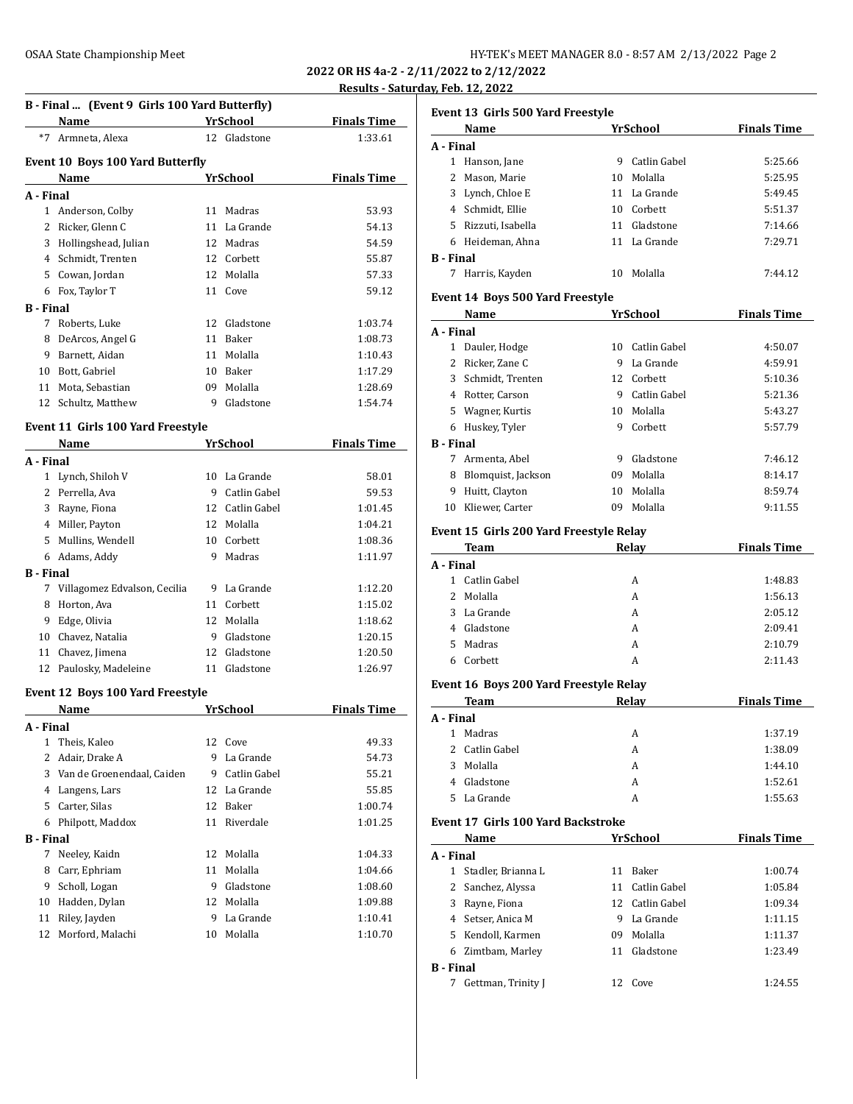**2022 OR HS 4a-2 - 2/11/2022 to 2/12/2022 Results - Saturday, Feb. 12, 2022**

| B - Final  (Event 9 Girls 100 Yard Butterfly) |                                          |    | <b>YrSchool</b> | <b>Finals Time</b>           |  |
|-----------------------------------------------|------------------------------------------|----|-----------------|------------------------------|--|
|                                               | Name<br>*7 Armneta, Alexa                |    | 12 Gladstone    | 1:33.61                      |  |
|                                               |                                          |    |                 |                              |  |
|                                               | Event 10 Boys 100 Yard Butterfly<br>Name |    | <b>YrSchool</b> | <b>Example 1</b> Finals Time |  |
| A - Final                                     |                                          |    |                 |                              |  |
|                                               | 1 Anderson, Colby                        |    | 11 Madras       | 53.93                        |  |
|                                               | 2 Ricker, Glenn C                        |    | 11 La Grande    | 54.13                        |  |
|                                               | 3 Hollingshead, Julian                   |    | 12 Madras       | 54.59                        |  |
|                                               | 4 Schmidt, Trenten                       |    | 12 Corbett      | 55.87                        |  |
|                                               | 5 Cowan, Jordan                          |    | 12 Molalla      | 57.33                        |  |
|                                               | 6 Fox, Taylor T                          |    | 11 Cove         | 59.12                        |  |
| <b>B</b> - Final                              |                                          |    |                 |                              |  |
|                                               | 7 Roberts, Luke                          |    | 12 Gladstone    | 1:03.74                      |  |
|                                               | 8 DeArcos, Angel G                       |    | 11 Baker        | 1:08.73                      |  |
|                                               | 9 Barnett, Aidan                         |    | 11 Molalla      | 1:10.43                      |  |
|                                               | 10 Bott, Gabriel                         |    | 10 Baker        | 1:17.29                      |  |
|                                               | 11 Mota, Sebastian                       |    | 09 Molalla      | 1:28.69                      |  |
|                                               | 12 Schultz, Matthew                      |    | 9 Gladstone     | 1:54.74                      |  |
|                                               | Event 11 Girls 100 Yard Freestyle        |    |                 |                              |  |
|                                               | Name                                     |    | <b>YrSchool</b> | <b>Finals Time</b>           |  |
| A - Final                                     |                                          |    |                 |                              |  |
|                                               | 1 Lynch, Shiloh V                        |    | 10 La Grande    | 58.01                        |  |
|                                               | 2 Perrella, Ava                          |    | 9 Catlin Gabel  | 59.53                        |  |
|                                               | 3 Rayne, Fiona                           |    | 12 Catlin Gabel | 1:01.45                      |  |
|                                               | 4 Miller, Payton                         |    | 12 Molalla      | 1:04.21                      |  |
|                                               | 5 Mullins, Wendell                       |    | 10 Corbett      | 1:08.36                      |  |
|                                               | 6 Adams, Addy                            |    | 9 Madras        | 1:11.97                      |  |
| <b>B</b> - Final                              |                                          |    |                 |                              |  |
|                                               | 7 Villagomez Edvalson, Cecilia           |    | 9 La Grande     | 1:12.20                      |  |
|                                               | 8 Horton, Ava                            |    | 11 Corbett      | 1:15.02                      |  |
|                                               | 9 Edge, Olivia                           |    | 12 Molalla      | 1:18.62                      |  |
|                                               | 10 Chavez, Natalia                       |    | 9 Gladstone     | 1:20.15                      |  |
|                                               | 11 Chavez, Jimena                        |    | 12 Gladstone    | 1:20.50                      |  |
|                                               | 12 Paulosky, Madeleine                   |    | 11 Gladstone    | 1:26.97                      |  |
|                                               | Event 12 Boys 100 Yard Freestyle         |    |                 |                              |  |
|                                               | Name                                     |    | <b>YrSchool</b> | <b>Finals Time</b>           |  |
| A - Final                                     |                                          |    |                 |                              |  |
| $\mathbf{1}$                                  | Theis, Kaleo                             |    | 12 Cove         | 49.33                        |  |
| 2                                             | Adair, Drake A                           | 9  | La Grande       | 54.73                        |  |
|                                               | 3 Van de Groenendaal, Caiden             |    | 9 Catlin Gabel  | 55.21                        |  |
|                                               | 4 Langens, Lars                          |    | 12 La Grande    | 55.85                        |  |
|                                               | 5 Carter, Silas                          |    | 12 Baker        | 1:00.74                      |  |
|                                               | 6 Philpott, Maddox                       | 11 | Riverdale       | 1:01.25                      |  |
| <b>B</b> - Final                              |                                          |    |                 |                              |  |
| 7                                             | Neeley, Kaidn                            | 12 | Molalla         | 1:04.33                      |  |
| 8                                             | Carr, Ephriam                            | 11 | Molalla         | 1:04.66                      |  |
| 9                                             | Scholl, Logan                            |    | 9 Gladstone     | 1:08.60                      |  |
| 10                                            | Hadden, Dylan                            |    | 12 Molalla      | 1:09.88                      |  |
| 11                                            | Riley, Jayden                            | 9  | La Grande       | 1:10.41                      |  |
| 12                                            | Morford, Malachi                         | 10 | Molalla         | 1:10.70                      |  |
|                                               |                                          |    |                 |                              |  |
|                                               |                                          |    |                 |                              |  |
|                                               |                                          |    |                 |                              |  |
|                                               |                                          |    |                 |                              |  |
|                                               |                                          |    |                 |                              |  |
|                                               |                                          |    |                 |                              |  |
|                                               |                                          |    |                 |                              |  |

|                | Event 13  Girls 500 Yard Freestyle                      |    |                 |                    |
|----------------|---------------------------------------------------------|----|-----------------|--------------------|
|                | Name                                                    |    | YrSchool        | <b>Finals Time</b> |
| A - Final      |                                                         |    |                 |                    |
| $\mathbf{1}$   | Hanson, Jane                                            | 9  | Catlin Gabel    | 5:25.66            |
| 2              | Mason, Marie                                            | 10 | Molalla         | 5:25.95            |
| 3              | Lynch, Chloe E                                          |    | 11 La Grande    | 5:49.45            |
|                | 4 Schmidt, Ellie                                        |    | 10 Corbett      | 5:51.37            |
|                | 5 Rizzuti, Isabella                                     |    | 11 Gladstone    | 7:14.66            |
|                | 6 Heideman, Ahna                                        |    | 11 La Grande    | 7:29.71            |
| B - Final      |                                                         |    |                 |                    |
| 7              | Harris, Kayden                                          | 10 | Molalla         | 7:44.12            |
|                | Event 14  Boys 500 Yard Freestyle                       |    |                 |                    |
|                | Name                                                    |    | YrSchool        | <b>Finals Time</b> |
| A - Final      |                                                         |    |                 |                    |
|                | 1 Dauler, Hodge                                         |    | 10 Catlin Gabel | 4:50.07            |
| 2              | Ricker, Zane C                                          |    | 9 La Grande     | 4:59.91            |
|                | 3 Schmidt, Trenten                                      |    | 12 Corbett      | 5:10.36            |
|                | 4 Rotter, Carson                                        |    | 9 Catlin Gabel  | 5:21.36            |
|                | 5 Wagner, Kurtis                                        | 10 | Molalla         | 5:43.27            |
|                | 6 Huskey, Tyler                                         |    | 9 Corbett       | 5:57.79            |
| B - Final      |                                                         |    |                 |                    |
| 7              | Armenta, Abel                                           |    | 9 Gladstone     | 7:46.12            |
| 8              | Blomquist, Jackson                                      |    | 09 Molalla      | 8:14.17            |
| 9              | Huitt, Clayton                                          |    | 10 Molalla      | 8:59.74            |
|                | 10 Kliewer, Carter                                      |    | 09 Molalla      | 9:11.55            |
|                |                                                         |    |                 |                    |
|                | Event 15  Girls 200 Yard Freestyle Relay<br><b>Team</b> |    | Relay           | <b>Finals Time</b> |
| A - Final      |                                                         |    |                 |                    |
|                | 1 Catlin Gabel                                          |    | A               | 1:48.83            |
| $\overline{2}$ | Molalla                                                 |    | A               | 1:56.13            |
| 3              | La Grande                                               |    | A               | 2:05.12            |
| 4              | Gladstone                                               |    | A               | 2:09.41            |
| 5              | Madras                                                  |    | A               | 2:10.79            |
| 6              | Corbett                                                 |    | A               | 2:11.43            |
|                |                                                         |    |                 |                    |
|                | Event 16 Boys 200 Yard Freestyle Relay                  |    |                 |                    |
|                | Team                                                    |    | <b>Relay</b>    | <b>Finals Time</b> |
| A - Final      |                                                         |    |                 |                    |
| 1              | Madras                                                  |    | A               | 1:37.19            |
| 2              | Catlin Gabel                                            |    | A               | 1:38.09            |
| 3              | Molalla                                                 |    | A               | 1:44.10            |
| 4              | Gladstone                                               |    | A               | 1:52.61            |
| 5              | La Grande                                               |    | A               | 1:55.63            |
|                | Event 17  Girls 100 Yard Backstroke                     |    |                 |                    |
|                | Name                                                    |    | YrSchool        | <b>Finals Time</b> |
| A - Final      |                                                         |    |                 |                    |
| 1              | Stadler, Brianna L                                      | 11 | Baker           | 1:00.74            |
| 2              | Sanchez, Alyssa                                         | 11 | Catlin Gabel    | 1:05.84            |
| 3              | Rayne, Fiona                                            |    | 12 Catlin Gabel | 1:09.34            |
|                | 4 Setser, Anica M                                       |    | 9 La Grande     | 1:11.15            |
|                | 5 Kendoll, Karmen                                       |    | 09 Molalla      | 1:11.37            |
|                | 6 Zimtbam, Marley                                       |    | 11 Gladstone    | 1:23.49            |
| B - Final      |                                                         |    |                 |                    |
|                | 7 Gettman, Trinity J                                    | 12 | Cove            | 1:24.55            |
|                |                                                         |    |                 |                    |